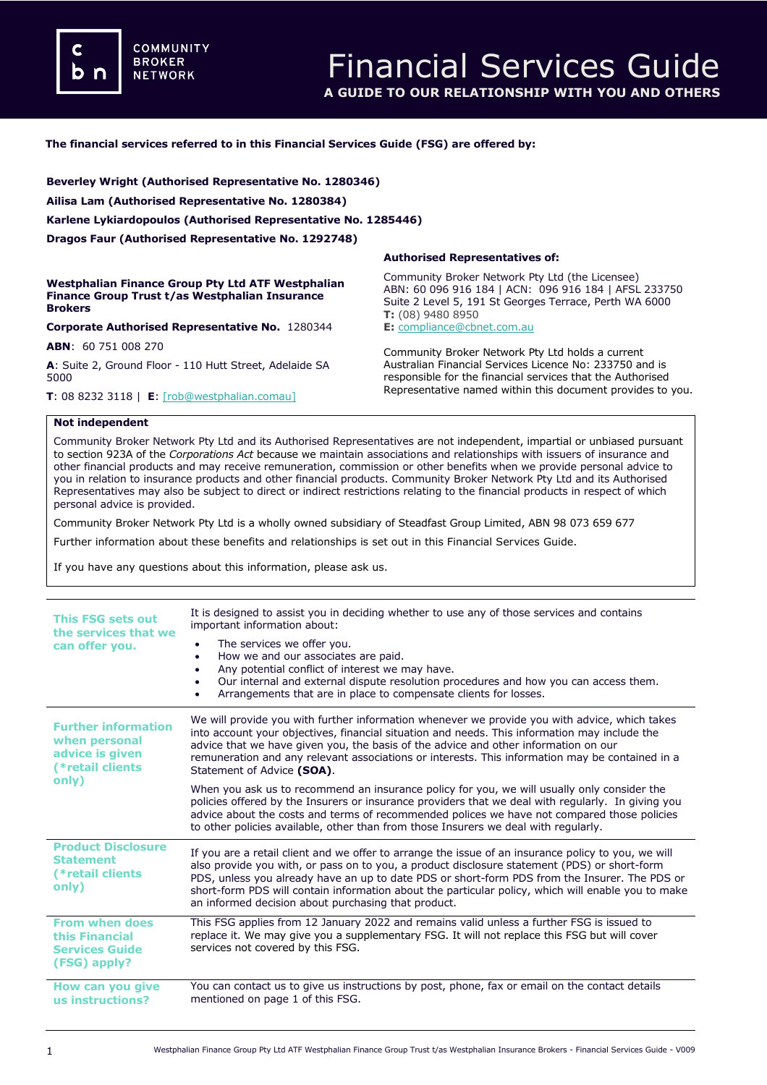**COMMUNITY BROKER NETWORK** 

### **The financial services referred to in this Financial Services Guide (FSG) are offered by:**

**Beverley Wright (Authorised Representative No. 1280346) Ailisa Lam (Authorised Representative No. 1280384) Karlene Lykiardopoulos (Authorised Representative No. 1285446) Dragos Faur (Authorised Representative No. 1292748)**

**Westphalian Finance Group Pty Ltd ATF Westphalian Finance Group Trust t/as Westphalian Insurance Brokers**

**Corporate Authorised Representative No.** 1280344

**ABN**: 60 751 008 270

**A**: Suite 2, Ground Floor - 110 Hutt Street, Adelaide SA 5000

**T**: 08 8232 3118 | **E**: [\[rob@westphalian.comau\]](mailto:meena@dataprivacyinsurance.com.au)

#### **Authorised Representatives of:**

Community Broker Network Pty Ltd (the Licensee) ABN: 60 096 916 184 | ACN: 096 916 184 | AFSL 233750 Suite 2 Level 5, 191 St Georges Terrace, Perth WA 6000 **T:** (08) 9480 8950 **E:** [compliance@cbnet.com.au](mailto:queries@naswg.com.au) 

Community Broker Network Pty Ltd holds a current Australian Financial Services Licence No: 233750 and is responsible for the financial services that the Authorised Representative named within this document provides to you.

### **Not independent**

Community Broker Network Pty Ltd and its Authorised Representatives are not independent, impartial or unbiased pursuant to section 923A of the *Corporations Act* because we maintain associations and relationships with issuers of insurance and other financial products and may receive remuneration, commission or other benefits when we provide personal advice to you in relation to insurance products and other financial products. Community Broker Network Pty Ltd and its Authorised Representatives may also be subject to direct or indirect restrictions relating to the financial products in respect of which personal advice is provided.

Community Broker Network Pty Ltd is a wholly owned subsidiary of Steadfast Group Limited, ABN 98 073 659 677

Further information about these benefits and relationships is set out in this Financial Services Guide.

If you have any questions about this information, please ask us.

| This FSG sets out<br>the services that we<br>can offer you.                                 | It is designed to assist you in deciding whether to use any of those services and contains<br>important information about:<br>The services we offer you.<br>How we and our associates are paid.<br>$\bullet$<br>Any potential conflict of interest we may have.<br>Our internal and external dispute resolution procedures and how you can access them.<br>Arrangements that are in place to compensate clients for losses.                                       |
|---------------------------------------------------------------------------------------------|-------------------------------------------------------------------------------------------------------------------------------------------------------------------------------------------------------------------------------------------------------------------------------------------------------------------------------------------------------------------------------------------------------------------------------------------------------------------|
| <b>Further information</b><br>when personal<br>advice is given<br>(*retail clients<br>only) | We will provide you with further information whenever we provide you with advice, which takes<br>into account your objectives, financial situation and needs. This information may include the<br>advice that we have given you, the basis of the advice and other information on our<br>remuneration and any relevant associations or interests. This information may be contained in a<br>Statement of Advice (SOA).                                            |
|                                                                                             | When you ask us to recommend an insurance policy for you, we will usually only consider the<br>policies offered by the Insurers or insurance providers that we deal with regularly. In giving you<br>advice about the costs and terms of recommended polices we have not compared those policies<br>to other policies available, other than from those Insurers we deal with regularly.                                                                           |
| <b>Product Disclosure</b><br><b>Statement</b><br>(*retail clients<br>only)                  | If you are a retail client and we offer to arrange the issue of an insurance policy to you, we will<br>also provide you with, or pass on to you, a product disclosure statement (PDS) or short-form<br>PDS, unless you already have an up to date PDS or short-form PDS from the Insurer. The PDS or<br>short-form PDS will contain information about the particular policy, which will enable you to make<br>an informed decision about purchasing that product. |
| <b>From when does</b><br>this Financial<br><b>Services Guide</b><br>(FSG) apply?            | This FSG applies from 12 January 2022 and remains valid unless a further FSG is issued to<br>replace it. We may give you a supplementary FSG. It will not replace this FSG but will cover<br>services not covered by this FSG.                                                                                                                                                                                                                                    |
| How can you give<br>us instructions?                                                        | You can contact us to give us instructions by post, phone, fax or email on the contact details<br>mentioned on page 1 of this FSG.                                                                                                                                                                                                                                                                                                                                |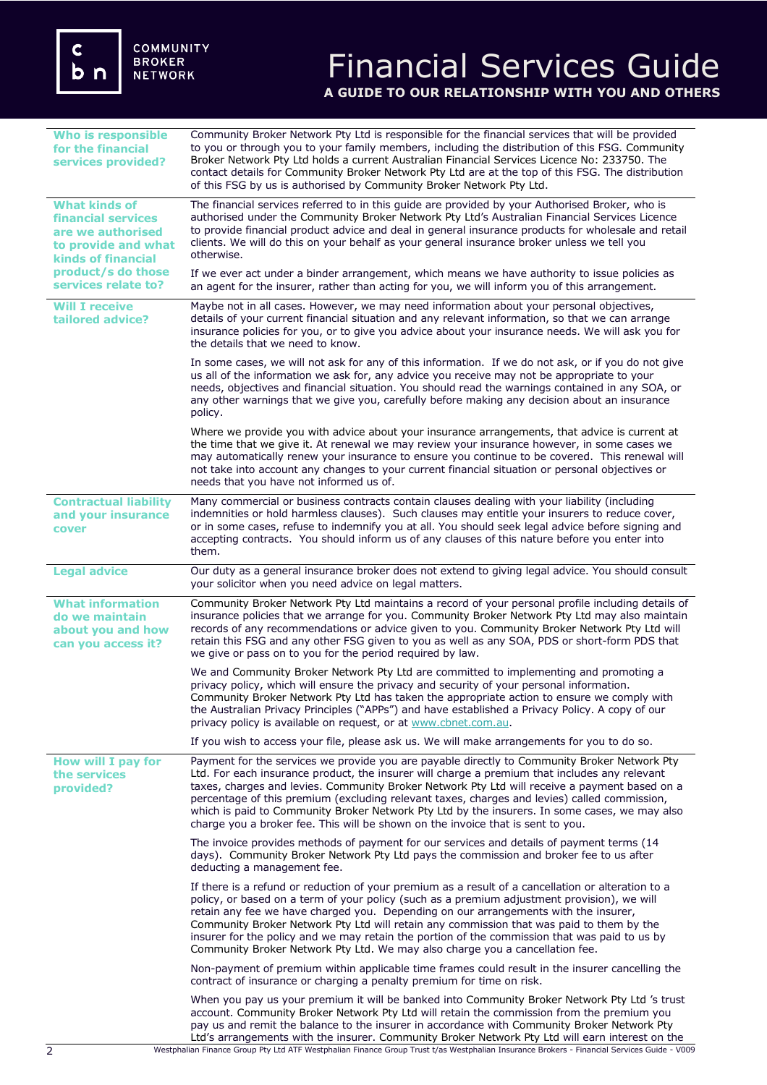# Financial Services Guide **A GUIDE TO OUR RELATIONSHIP WITH YOU AND OTHERS**

| <b>Who is responsible</b><br>for the financial<br>services provided?                                                                                                    | Community Broker Network Pty Ltd is responsible for the financial services that will be provided<br>to you or through you to your family members, including the distribution of this FSG. Community<br>Broker Network Pty Ltd holds a current Australian Financial Services Licence No: 233750. The<br>contact details for Community Broker Network Pty Ltd are at the top of this FSG. The distribution<br>of this FSG by us is authorised by Community Broker Network Pty Ltd.                                                                                                   |
|-------------------------------------------------------------------------------------------------------------------------------------------------------------------------|------------------------------------------------------------------------------------------------------------------------------------------------------------------------------------------------------------------------------------------------------------------------------------------------------------------------------------------------------------------------------------------------------------------------------------------------------------------------------------------------------------------------------------------------------------------------------------|
| <b>What kinds of</b><br><b>financial services</b><br>are we authorised<br>to provide and what<br><b>kinds of financial</b><br>product/s do those<br>services relate to? | The financial services referred to in this quide are provided by your Authorised Broker, who is<br>authorised under the Community Broker Network Pty Ltd's Australian Financial Services Licence<br>to provide financial product advice and deal in general insurance products for wholesale and retail<br>clients. We will do this on your behalf as your general insurance broker unless we tell you<br>otherwise.                                                                                                                                                               |
|                                                                                                                                                                         | If we ever act under a binder arrangement, which means we have authority to issue policies as<br>an agent for the insurer, rather than acting for you, we will inform you of this arrangement.                                                                                                                                                                                                                                                                                                                                                                                     |
| <b>Will I receive</b><br>tailored advice?                                                                                                                               | Maybe not in all cases. However, we may need information about your personal objectives,<br>details of your current financial situation and any relevant information, so that we can arrange<br>insurance policies for you, or to give you advice about your insurance needs. We will ask you for<br>the details that we need to know.                                                                                                                                                                                                                                             |
|                                                                                                                                                                         | In some cases, we will not ask for any of this information. If we do not ask, or if you do not give<br>us all of the information we ask for, any advice you receive may not be appropriate to your<br>needs, objectives and financial situation. You should read the warnings contained in any SOA, or<br>any other warnings that we give you, carefully before making any decision about an insurance<br>policy.                                                                                                                                                                  |
|                                                                                                                                                                         | Where we provide you with advice about your insurance arrangements, that advice is current at<br>the time that we give it. At renewal we may review your insurance however, in some cases we<br>may automatically renew your insurance to ensure you continue to be covered. This renewal will<br>not take into account any changes to your current financial situation or personal objectives or<br>needs that you have not informed us of.                                                                                                                                       |
| <b>Contractual liability</b><br>and your insurance<br>cover                                                                                                             | Many commercial or business contracts contain clauses dealing with your liability (including<br>indemnities or hold harmless clauses). Such clauses may entitle your insurers to reduce cover,<br>or in some cases, refuse to indemnify you at all. You should seek legal advice before signing and<br>accepting contracts. You should inform us of any clauses of this nature before you enter into<br>them.                                                                                                                                                                      |
| <b>Legal advice</b>                                                                                                                                                     | Our duty as a general insurance broker does not extend to giving legal advice. You should consult<br>your solicitor when you need advice on legal matters.                                                                                                                                                                                                                                                                                                                                                                                                                         |
| <b>What information</b><br>do we maintain<br>about you and how<br>can you access it?                                                                                    | Community Broker Network Pty Ltd maintains a record of your personal profile including details of<br>insurance policies that we arrange for you. Community Broker Network Pty Ltd may also maintain<br>records of any recommendations or advice given to you. Community Broker Network Pty Ltd will<br>retain this FSG and any other FSG given to you as well as any SOA, PDS or short-form PDS that<br>we give or pass on to you for the period required by law.                                                                                                                  |
|                                                                                                                                                                         | We and Community Broker Network Pty Ltd are committed to implementing and promoting a<br>privacy policy, which will ensure the privacy and security of your personal information.<br>Community Broker Network Pty Ltd has taken the appropriate action to ensure we comply with<br>the Australian Privacy Principles ("APPs") and have established a Privacy Policy. A copy of our<br>privacy policy is available on request, or at www.cbnet.com.au.                                                                                                                              |
|                                                                                                                                                                         | If you wish to access your file, please ask us. We will make arrangements for you to do so.                                                                                                                                                                                                                                                                                                                                                                                                                                                                                        |
| How will I pay for<br>the services<br>provided?                                                                                                                         | Payment for the services we provide you are payable directly to Community Broker Network Pty<br>Ltd. For each insurance product, the insurer will charge a premium that includes any relevant<br>taxes, charges and levies. Community Broker Network Pty Ltd will receive a payment based on a<br>percentage of this premium (excluding relevant taxes, charges and levies) called commission,<br>which is paid to Community Broker Network Pty Ltd by the insurers. In some cases, we may also<br>charge you a broker fee. This will be shown on the invoice that is sent to you. |
|                                                                                                                                                                         | The invoice provides methods of payment for our services and details of payment terms (14<br>days). Community Broker Network Pty Ltd pays the commission and broker fee to us after<br>deducting a management fee.                                                                                                                                                                                                                                                                                                                                                                 |
|                                                                                                                                                                         | If there is a refund or reduction of your premium as a result of a cancellation or alteration to a<br>policy, or based on a term of your policy (such as a premium adjustment provision), we will<br>retain any fee we have charged you. Depending on our arrangements with the insurer,<br>Community Broker Network Pty Ltd will retain any commission that was paid to them by the<br>insurer for the policy and we may retain the portion of the commission that was paid to us by<br>Community Broker Network Pty Ltd. We may also charge you a cancellation fee.              |
|                                                                                                                                                                         | Non-payment of premium within applicable time frames could result in the insurer cancelling the<br>contract of insurance or charging a penalty premium for time on risk.                                                                                                                                                                                                                                                                                                                                                                                                           |
|                                                                                                                                                                         | When you pay us your premium it will be banked into Community Broker Network Pty Ltd 's trust<br>account. Community Broker Network Pty Ltd will retain the commission from the premium you<br>pay us and remit the balance to the insurer in accordance with Community Broker Network Pty<br>Ltd's arrangements with the insurer. Community Broker Network Pty Ltd will earn interest on the                                                                                                                                                                                       |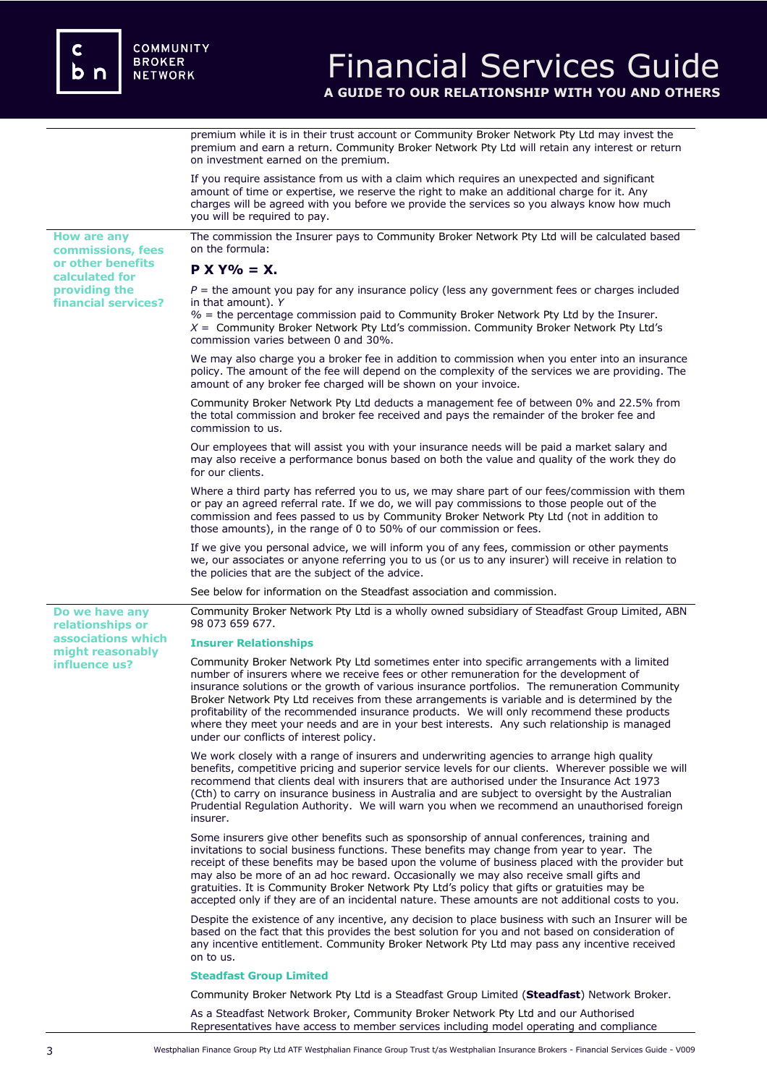**providing the financial services?**

**Do we have any relationships or associations which might reasonably influence us?** 

## Financial Services Guide **A GUIDE TO OUR RELATIONSHIP WITH YOU AND OTHERS**

premium while it is in their trust account or Community Broker Network Pty Ltd may invest the premium and earn a return. Community Broker Network Pty Ltd will retain any interest or return on investment earned on the premium.

If you require assistance from us with a claim which requires an unexpected and significant amount of time or expertise, we reserve the right to make an additional charge for it. Any charges will be agreed with you before we provide the services so you always know how much you will be required to pay.

**How are any commissions, fees or other benefits calculated for**  The commission the Insurer pays to Community Broker Network Pty Ltd will be calculated based on the formula:

**P X Y% = X.**

 $P =$  the amount you pay for any insurance policy (less any government fees or charges included in that amount). *Y*

*%* = the percentage commission paid to Community Broker Network Pty Ltd by the Insurer. *X* = Community Broker Network Pty Ltd's commission. Community Broker Network Pty Ltd's commission varies between 0 and 30%.

We may also charge you a broker fee in addition to commission when you enter into an insurance policy. The amount of the fee will depend on the complexity of the services we are providing. The amount of any broker fee charged will be shown on your invoice.

Community Broker Network Pty Ltd deducts a management fee of between 0% and 22.5% from the total commission and broker fee received and pays the remainder of the broker fee and commission to us.

Our employees that will assist you with your insurance needs will be paid a market salary and may also receive a performance bonus based on both the value and quality of the work they do for our clients.

Where a third party has referred you to us, we may share part of our fees/commission with them or pay an agreed referral rate. If we do, we will pay commissions to those people out of the commission and fees passed to us by Community Broker Network Pty Ltd (not in addition to those amounts), in the range of 0 to 50% of our commission or fees.

If we give you personal advice, we will inform you of any fees, commission or other payments we, our associates or anyone referring you to us (or us to any insurer) will receive in relation to the policies that are the subject of the advice.

See below for information on the Steadfast association and commission.

Community Broker Network Pty Ltd is a wholly owned subsidiary of Steadfast Group Limited, ABN 98 073 659 677.

### **Insurer Relationships**

Community Broker Network Pty Ltd sometimes enter into specific arrangements with a limited number of insurers where we receive fees or other remuneration for the development of insurance solutions or the growth of various insurance portfolios. The remuneration Community Broker Network Pty Ltd receives from these arrangements is variable and is determined by the profitability of the recommended insurance products. We will only recommend these products where they meet your needs and are in your best interests. Any such relationship is managed under our conflicts of interest policy.

We work closely with a range of insurers and underwriting agencies to arrange high quality benefits, competitive pricing and superior service levels for our clients. Wherever possible we will recommend that clients deal with insurers that are authorised under the Insurance Act 1973 (Cth) to carry on insurance business in Australia and are subject to oversight by the Australian Prudential Regulation Authority. We will warn you when we recommend an unauthorised foreign insurer.

Some insurers give other benefits such as sponsorship of annual conferences, training and invitations to social business functions. These benefits may change from year to year. The receipt of these benefits may be based upon the volume of business placed with the provider but may also be more of an ad hoc reward. Occasionally we may also receive small gifts and gratuities. It is Community Broker Network Pty Ltd's policy that gifts or gratuities may be accepted only if they are of an incidental nature. These amounts are not additional costs to you.

Despite the existence of any incentive, any decision to place business with such an Insurer will be based on the fact that this provides the best solution for you and not based on consideration of any incentive entitlement. Community Broker Network Pty Ltd may pass any incentive received on to us.

#### **Steadfast Group Limited**

Community Broker Network Pty Ltd is a Steadfast Group Limited (**Steadfast**) Network Broker.

As a Steadfast Network Broker, Community Broker Network Pty Ltd and our Authorised Representatives have access to member services including model operating and compliance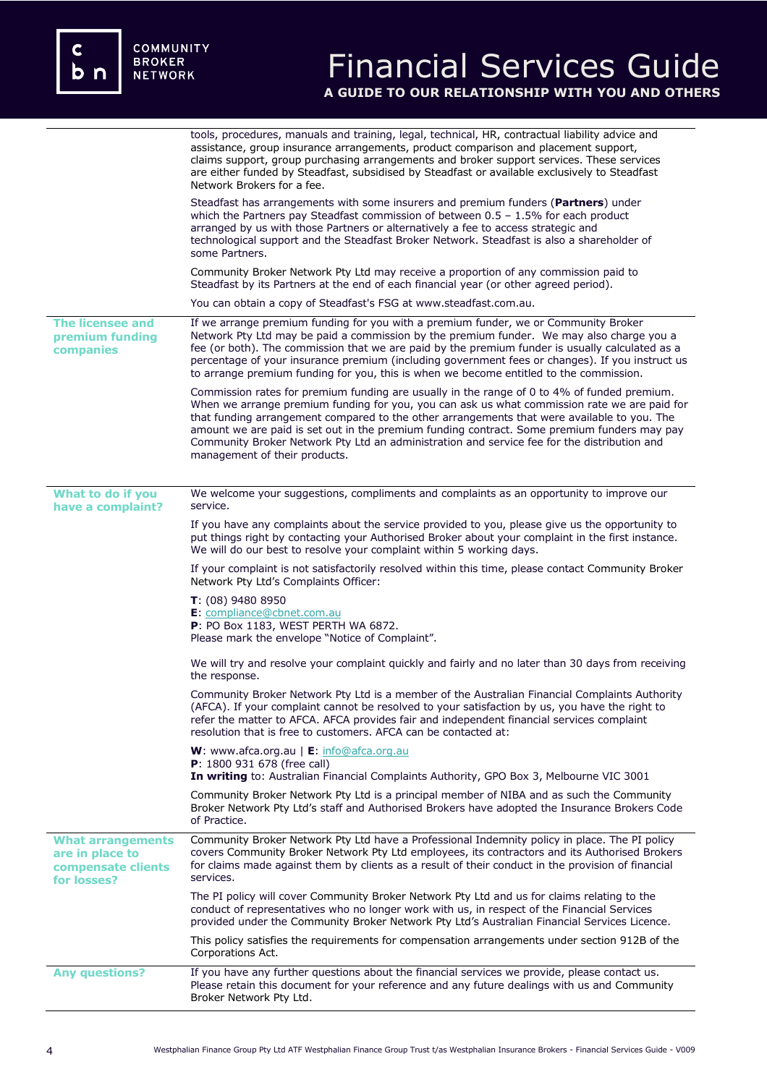# Financial Services Guide **A GUIDE TO OUR RELATIONSHIP WITH YOU AND OTHERS**

|                                                                                  | tools, procedures, manuals and training, legal, technical, HR, contractual liability advice and<br>assistance, group insurance arrangements, product comparison and placement support,<br>claims support, group purchasing arrangements and broker support services. These services<br>are either funded by Steadfast, subsidised by Steadfast or available exclusively to Steadfast<br>Network Brokers for a fee.                                                                                                        |
|----------------------------------------------------------------------------------|---------------------------------------------------------------------------------------------------------------------------------------------------------------------------------------------------------------------------------------------------------------------------------------------------------------------------------------------------------------------------------------------------------------------------------------------------------------------------------------------------------------------------|
|                                                                                  | Steadfast has arrangements with some insurers and premium funders (Partners) under<br>which the Partners pay Steadfast commission of between $0.5 - 1.5\%$ for each product<br>arranged by us with those Partners or alternatively a fee to access strategic and<br>technological support and the Steadfast Broker Network. Steadfast is also a shareholder of<br>some Partners.                                                                                                                                          |
|                                                                                  | Community Broker Network Pty Ltd may receive a proportion of any commission paid to<br>Steadfast by its Partners at the end of each financial year (or other agreed period).                                                                                                                                                                                                                                                                                                                                              |
|                                                                                  | You can obtain a copy of Steadfast's FSG at www.steadfast.com.au.                                                                                                                                                                                                                                                                                                                                                                                                                                                         |
| The licensee and<br>premium funding<br>companies                                 | If we arrange premium funding for you with a premium funder, we or Community Broker<br>Network Pty Ltd may be paid a commission by the premium funder. We may also charge you a<br>fee (or both). The commission that we are paid by the premium funder is usually calculated as a<br>percentage of your insurance premium (including government fees or changes). If you instruct us<br>to arrange premium funding for you, this is when we become entitled to the commission.                                           |
|                                                                                  | Commission rates for premium funding are usually in the range of 0 to 4% of funded premium.<br>When we arrange premium funding for you, you can ask us what commission rate we are paid for<br>that funding arrangement compared to the other arrangements that were available to you. The<br>amount we are paid is set out in the premium funding contract. Some premium funders may pay<br>Community Broker Network Pty Ltd an administration and service fee for the distribution and<br>management of their products. |
| What to do if you<br>have a complaint?                                           | We welcome your suggestions, compliments and complaints as an opportunity to improve our<br>service.                                                                                                                                                                                                                                                                                                                                                                                                                      |
|                                                                                  | If you have any complaints about the service provided to you, please give us the opportunity to<br>put things right by contacting your Authorised Broker about your complaint in the first instance.<br>We will do our best to resolve your complaint within 5 working days.                                                                                                                                                                                                                                              |
|                                                                                  | If your complaint is not satisfactorily resolved within this time, please contact Community Broker<br>Network Pty Ltd's Complaints Officer:                                                                                                                                                                                                                                                                                                                                                                               |
|                                                                                  | T: (08) 9480 8950<br>E: compliance@cbnet.com.au<br>P: PO Box 1183, WEST PERTH WA 6872.<br>Please mark the envelope "Notice of Complaint".                                                                                                                                                                                                                                                                                                                                                                                 |
|                                                                                  | We will try and resolve your complaint quickly and fairly and no later than 30 days from receiving<br>the response.                                                                                                                                                                                                                                                                                                                                                                                                       |
|                                                                                  | Community Broker Network Pty Ltd is a member of the Australian Financial Complaints Authority<br>(AFCA). If your complaint cannot be resolved to your satisfaction by us, you have the right to<br>refer the matter to AFCA. AFCA provides fair and independent financial services complaint<br>resolution that is free to customers. AFCA can be contacted at:                                                                                                                                                           |
|                                                                                  | W: www.afca.org.au   E: info@afca.org.au<br><b>P</b> : 1800 931 678 (free call)<br>In writing to: Australian Financial Complaints Authority, GPO Box 3, Melbourne VIC 3001                                                                                                                                                                                                                                                                                                                                                |
|                                                                                  | Community Broker Network Pty Ltd is a principal member of NIBA and as such the Community<br>Broker Network Pty Ltd's staff and Authorised Brokers have adopted the Insurance Brokers Code<br>of Practice.                                                                                                                                                                                                                                                                                                                 |
| <b>What arrangements</b><br>are in place to<br>compensate clients<br>for losses? | Community Broker Network Pty Ltd have a Professional Indemnity policy in place. The PI policy<br>covers Community Broker Network Pty Ltd employees, its contractors and its Authorised Brokers<br>for claims made against them by clients as a result of their conduct in the provision of financial<br>services.                                                                                                                                                                                                         |
|                                                                                  | The PI policy will cover Community Broker Network Pty Ltd and us for claims relating to the<br>conduct of representatives who no longer work with us, in respect of the Financial Services<br>provided under the Community Broker Network Pty Ltd's Australian Financial Services Licence.                                                                                                                                                                                                                                |
|                                                                                  | This policy satisfies the requirements for compensation arrangements under section 912B of the<br>Corporations Act.                                                                                                                                                                                                                                                                                                                                                                                                       |
| <b>Any questions?</b>                                                            | If you have any further questions about the financial services we provide, please contact us.<br>Please retain this document for your reference and any future dealings with us and Community<br>Broker Network Pty Ltd.                                                                                                                                                                                                                                                                                                  |